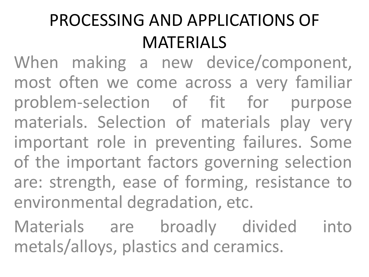## PROCESSING AND APPLICATIONS OF MATERIALS

When making a new device/component, most often we come across a very familiar problem-selection of fit for purpose materials. Selection of materials play very important role in preventing failures. Some of the important factors governing selection are: strength, ease of forming, resistance to environmental degradation, etc.

Materials are broadly divided into metals/alloys, plastics and ceramics.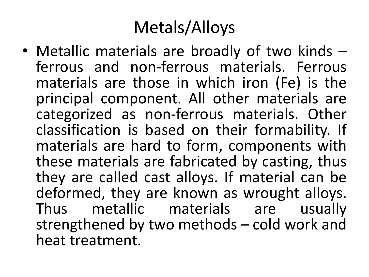## Metals/Alloys

• Metallic materials are broadly of two kinds – ferrous and non-ferrous materials. Ferrous materials are those in which iron (Fe) is the principal component. All other materials are categorized as non-ferrous materials. Other classification is based on their formability. If materials are hard to form, components with these materials are fabricated by casting, thus they are called cast alloys. If material can be deformed, they are known as wrought alloys. Thus metallic materials are usually strengthened by two methods – cold work and heat treatment.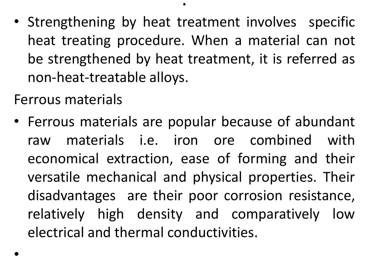• Strengthening by heat treatment involves specific heat treating procedure. When a material can not be strengthened by heat treatment, it is referred as non-heat-treatable alloys.

.

Ferrous materials

• Ferrous materials are popular because of abundant raw materials i.e. iron ore combined with economical extraction, ease of forming and their versatile mechanical and physical properties. Their disadvantages are their poor corrosion resistance, relatively high density and comparatively low electrical and thermal conductivities.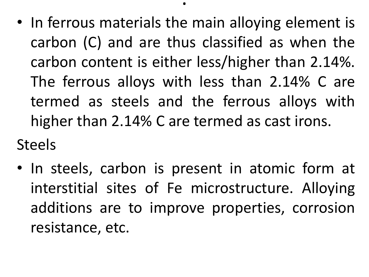• In ferrous materials the main alloying element is carbon (C) and are thus classified as when the carbon content is either less/higher than 2.14%. The ferrous alloys with less than 2.14% C are termed as steels and the ferrous alloys with higher than 2.14% C are termed as cast irons.

.

Steels

• In steels, carbon is present in atomic form at interstitial sites of Fe microstructure. Alloying additions are to improve properties, corrosion resistance, etc.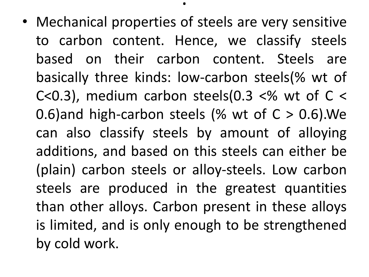• Mechanical properties of steels are very sensitive to carbon content. Hence, we classify steels based on their carbon content. Steels are basically three kinds: low-carbon steels(% wt of C<0.3), medium carbon steels(0.3  $<\%$  wt of C  $<$ 0.6)and high-carbon steels (% wt of  $C > 0.6$ ). We can also classify steels by amount of alloying additions, and based on this steels can either be (plain) carbon steels or alloy-steels. Low carbon steels are produced in the greatest quantities than other alloys. Carbon present in these alloys is limited, and is only enough to be strengthened by cold work.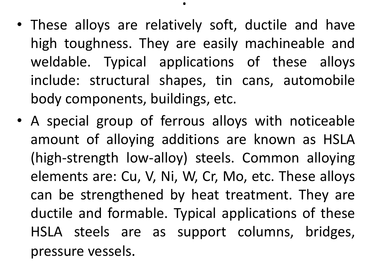- These alloys are relatively soft, ductile and have high toughness. They are easily machineable and weldable. Typical applications of these alloys include: structural shapes, tin cans, automobile body components, buildings, etc.
- A special group of ferrous alloys with noticeable amount of alloying additions are known as HSLA (high-strength low-alloy) steels. Common alloying elements are: Cu, V, Ni, W, Cr, Mo, etc. These alloys can be strengthened by heat treatment. They are ductile and formable. Typical applications of these HSLA steels are as support columns, bridges, pressure vessels.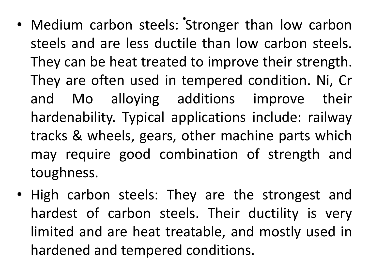- . • Medium carbon steels: Stronger than low carbon steels and are less ductile than low carbon steels. They can be heat treated to improve their strength. They are often used in tempered condition. Ni, Cr and Mo alloying additions improve their hardenability. Typical applications include: railway tracks & wheels, gears, other machine parts which may require good combination of strength and toughness.
- High carbon steels: They are the strongest and hardest of carbon steels. Their ductility is very limited and are heat treatable, and mostly used in hardened and tempered conditions.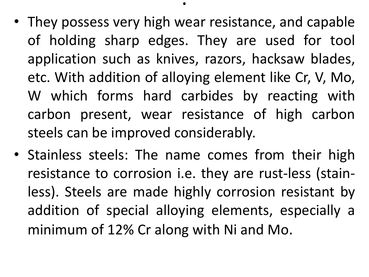• They possess very high wear resistance, and capable of holding sharp edges. They are used for tool application such as knives, razors, hacksaw blades, etc. With addition of alloying element like Cr, V, Mo, W which forms hard carbides by reacting with carbon present, wear resistance of high carbon steels can be improved considerably.

.

• Stainless steels: The name comes from their high resistance to corrosion i.e. they are rust-less (stainless). Steels are made highly corrosion resistant by addition of special alloying elements, especially a minimum of 12% Cr along with Ni and Mo.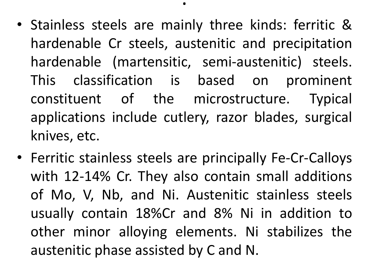• Stainless steels are mainly three kinds: ferritic & hardenable Cr steels, austenitic and precipitation hardenable (martensitic, semi-austenitic) steels. This classification is based on prominent constituent of the microstructure. Typical applications include cutlery, razor blades, surgical knives, etc.

.

• Ferritic stainless steels are principally Fe-Cr-Calloys with 12-14% Cr. They also contain small additions of Mo, V, Nb, and Ni. Austenitic stainless steels usually contain 18%Cr and 8% Ni in addition to other minor alloying elements. Ni stabilizes the austenitic phase assisted by C and N.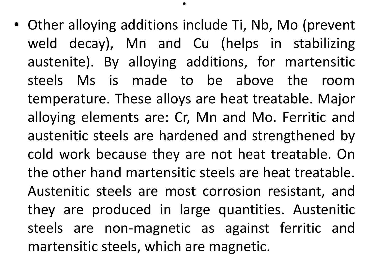• Other alloying additions include Ti, Nb, Mo (prevent weld decay), Mn and Cu (helps in stabilizing austenite). By alloying additions, for martensitic steels Ms is made to be above the room temperature. These alloys are heat treatable. Major alloying elements are: Cr, Mn and Mo. Ferritic and austenitic steels are hardened and strengthened by cold work because they are not heat treatable. On the other hand martensitic steels are heat treatable. Austenitic steels are most corrosion resistant, and they are produced in large quantities. Austenitic steels are non-magnetic as against ferritic and martensitic steels, which are magnetic.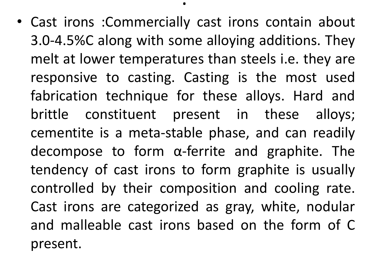• Cast irons :Commercially cast irons contain about 3.0-4.5%C along with some alloying additions. They melt at lower temperatures than steels i.e. they are responsive to casting. Casting is the most used fabrication technique for these alloys. Hard and brittle constituent present in these alloys; cementite is a meta-stable phase, and can readily decompose to form α-ferrite and graphite. The tendency of cast irons to form graphite is usually controlled by their composition and cooling rate. Cast irons are categorized as gray, white, nodular and malleable cast irons based on the form of C present.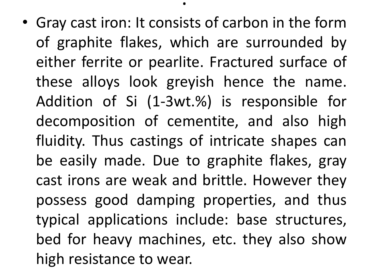• Gray cast iron: It consists of carbon in the form of graphite flakes, which are surrounded by either ferrite or pearlite. Fractured surface of these alloys look greyish hence the name. Addition of Si (1-3wt.%) is responsible for decomposition of cementite, and also high fluidity. Thus castings of intricate shapes can be easily made. Due to graphite flakes, gray cast irons are weak and brittle. However they possess good damping properties, and thus typical applications include: base structures, bed for heavy machines, etc. they also show high resistance to wear.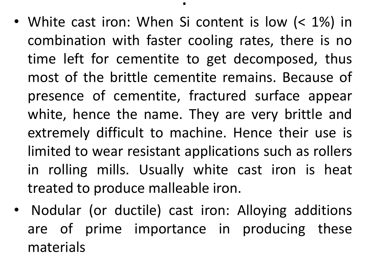• White cast iron: When Si content is low (< 1%) in combination with faster cooling rates, there is no time left for cementite to get decomposed, thus most of the brittle cementite remains. Because of presence of cementite, fractured surface appear white, hence the name. They are very brittle and extremely difficult to machine. Hence their use is limited to wear resistant applications such as rollers in rolling mills. Usually white cast iron is heat treated to produce malleable iron.

.

• Nodular (or ductile) cast iron: Alloying additions are of prime importance in producing these materials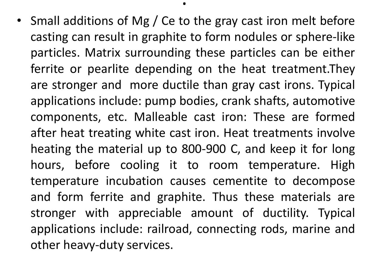• Small additions of Mg / Ce to the gray cast iron melt before casting can result in graphite to form nodules or sphere-like particles. Matrix surrounding these particles can be either ferrite or pearlite depending on the heat treatment.They are stronger and more ductile than gray cast irons. Typical applications include: pump bodies, crank shafts, automotive components, etc. Malleable cast iron: These are formed after heat treating white cast iron. Heat treatments involve heating the material up to 800-900 C, and keep it for long hours, before cooling it to room temperature. High temperature incubation causes cementite to decompose and form ferrite and graphite. Thus these materials are stronger with appreciable amount of ductility. Typical applications include: railroad, connecting rods, marine and other heavy-duty services.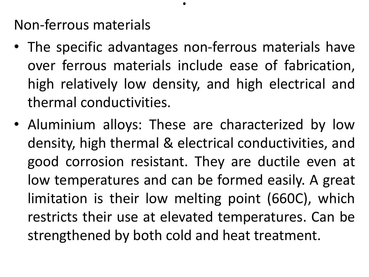Non-ferrous materials

• The specific advantages non-ferrous materials have over ferrous materials include ease of fabrication, high relatively low density, and high electrical and thermal conductivities.

.

• Aluminium alloys: These are characterized by low density, high thermal & electrical conductivities, and good corrosion resistant. They are ductile even at low temperatures and can be formed easily. A great limitation is their low melting point (660C), which restricts their use at elevated temperatures. Can be strengthened by both cold and heat treatment.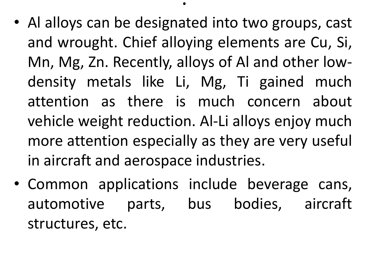• Al alloys can be designated into two groups, cast and wrought. Chief alloying elements are Cu, Si, Mn, Mg, Zn. Recently, alloys of Al and other lowdensity metals like Li, Mg, Ti gained much attention as there is much concern about vehicle weight reduction. Al-Li alloys enjoy much more attention especially as they are very useful in aircraft and aerospace industries.

.

• Common applications include beverage cans, automotive parts, bus bodies, aircraft structures, etc.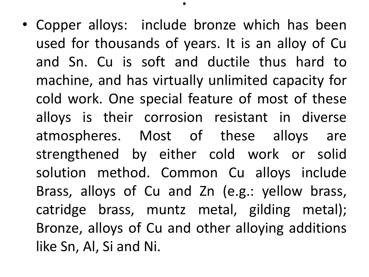• Copper alloys: include bronze which has been used for thousands of years. It is an alloy of Cu and Sn. Cu is soft and ductile thus hard to machine, and has virtually unlimited capacity for cold work. One special feature of most of these alloys is their corrosion resistant in diverse atmospheres. Most of these alloys are strengthened by either cold work or solid solution method. Common Cu alloys include Brass, alloys of Cu and Zn (e.g.: yellow brass, catridge brass, muntz metal, gilding metal); Bronze, alloys of Cu and other alloying additions like Sn, Al, Si and Ni.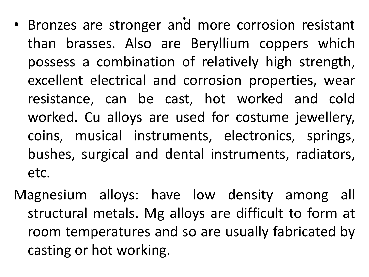- .<br>.<br>. • Bronzes are stronger and more corrosion resistant than brasses. Also are Beryllium coppers which possess a combination of relatively high strength, excellent electrical and corrosion properties, wear resistance, can be cast, hot worked and cold worked. Cu alloys are used for costume jewellery, coins, musical instruments, electronics, springs, bushes, surgical and dental instruments, radiators, etc.
- Magnesium alloys: have low density among all structural metals. Mg alloys are difficult to form at room temperatures and so are usually fabricated by casting or hot working.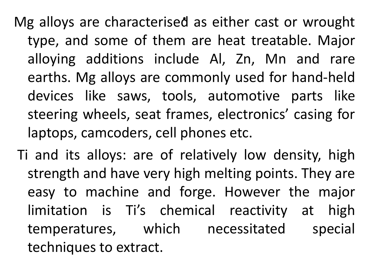. Mg alloys are characterised as either cast or wrought type, and some of them are heat treatable. Major alloying additions include Al, Zn, Mn and rare earths. Mg alloys are commonly used for hand-held devices like saws, tools, automotive parts like steering wheels, seat frames, electronics' casing for laptops, camcoders, cell phones etc.

Ti and its alloys: are of relatively low density, high strength and have very high melting points. They are easy to machine and forge. However the major limitation is Ti's chemical reactivity at high temperatures, which necessitated special techniques to extract.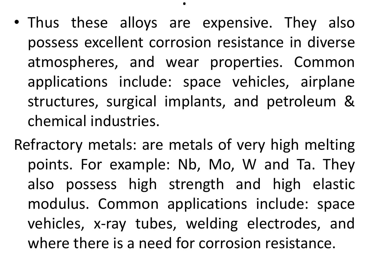• Thus these alloys are expensive. They also possess excellent corrosion resistance in diverse atmospheres, and wear properties. Common applications include: space vehicles, airplane structures, surgical implants, and petroleum & chemical industries.

.

Refractory metals: are metals of very high melting points. For example: Nb, Mo, W and Ta. They also possess high strength and high elastic modulus. Common applications include: space vehicles, x-ray tubes, welding electrodes, and where there is a need for corrosion resistance.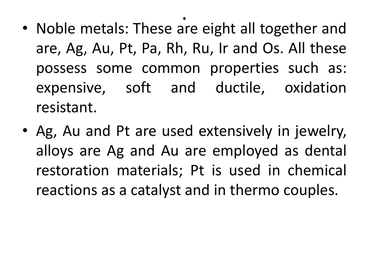- . • Noble metals: These are eight all together and are, Ag, Au, Pt, Pa, Rh, Ru, Ir and Os. All these possess some common properties such as: expensive, soft and ductile, oxidation resistant.
- Ag, Au and Pt are used extensively in jewelry, alloys are Ag and Au are employed as dental restoration materials; Pt is used in chemical reactions as a catalyst and in thermo couples.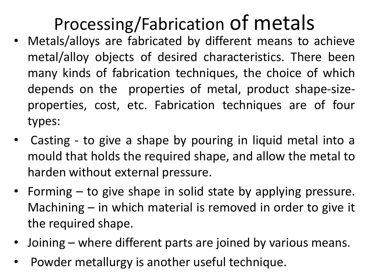## Processing/Fabrication of metals

- Metals/alloys are fabricated by different means to achieve metal/alloy objects of desired characteristics. There been many kinds of fabrication techniques, the choice of which depends on the properties of metal, product shape-sizeproperties, cost, etc. Fabrication techniques are of four types:
- Casting to give a shape by pouring in liquid metal into a mould that holds the required shape, and allow the metal to harden without external pressure.
- Forming to give shape in solid state by applying pressure. Machining – in which material is removed in order to give it the required shape.
- Joining where different parts are joined by various means.
- Powder metallurgy is another useful technique.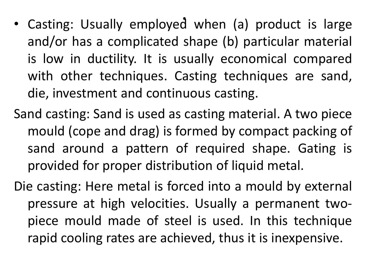- .<br>د • Casting: Usually employed when (a) product is large and/or has a complicated shape (b) particular material is low in ductility. It is usually economical compared with other techniques. Casting techniques are sand, die, investment and continuous casting.
- Sand casting: Sand is used as casting material. A two piece mould (cope and drag) is formed by compact packing of sand around a pattern of required shape. Gating is provided for proper distribution of liquid metal.
- Die casting: Here metal is forced into a mould by external pressure at high velocities. Usually a permanent twopiece mould made of steel is used. In this technique rapid cooling rates are achieved, thus it is inexpensive.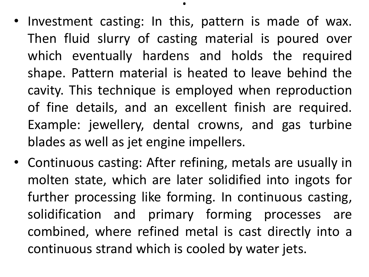• Investment casting: In this, pattern is made of wax. Then fluid slurry of casting material is poured over which eventually hardens and holds the required shape. Pattern material is heated to leave behind the cavity. This technique is employed when reproduction of fine details, and an excellent finish are required. Example: jewellery, dental crowns, and gas turbine blades as well as jet engine impellers.

.

• Continuous casting: After refining, metals are usually in molten state, which are later solidified into ingots for further processing like forming. In continuous casting, solidification and primary forming processes are combined, where refined metal is cast directly into a continuous strand which is cooled by water jets.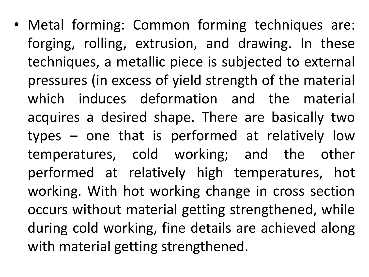• Metal forming: Common forming techniques are: forging, rolling, extrusion, and drawing. In these techniques, a metallic piece is subjected to external pressures (in excess of yield strength of the material which induces deformation and the material acquires a desired shape. There are basically two types – one that is performed at relatively low temperatures, cold working; and the other performed at relatively high temperatures, hot working. With hot working change in cross section occurs without material getting strengthened, while during cold working, fine details are achieved along with material getting strengthened.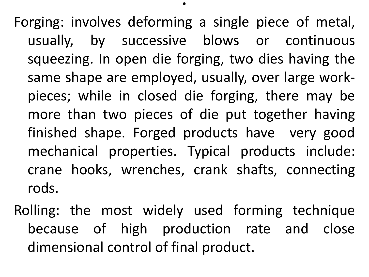Forging: involves deforming a single piece of metal, usually, by successive blows or continuous squeezing. In open die forging, two dies having the same shape are employed, usually, over large workpieces; while in closed die forging, there may be more than two pieces of die put together having finished shape. Forged products have very good mechanical properties. Typical products include: crane hooks, wrenches, crank shafts, connecting rods.

Rolling: the most widely used forming technique because of high production rate and close dimensional control of final product.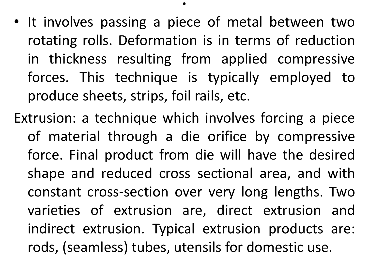- It involves passing a piece of metal between two rotating rolls. Deformation is in terms of reduction in thickness resulting from applied compressive forces. This technique is typically employed to produce sheets, strips, foil rails, etc.
- Extrusion: a technique which involves forcing a piece of material through a die orifice by compressive force. Final product from die will have the desired shape and reduced cross sectional area, and with constant cross-section over very long lengths. Two varieties of extrusion are, direct extrusion and indirect extrusion. Typical extrusion products are: rods, (seamless) tubes, utensils for domestic use.